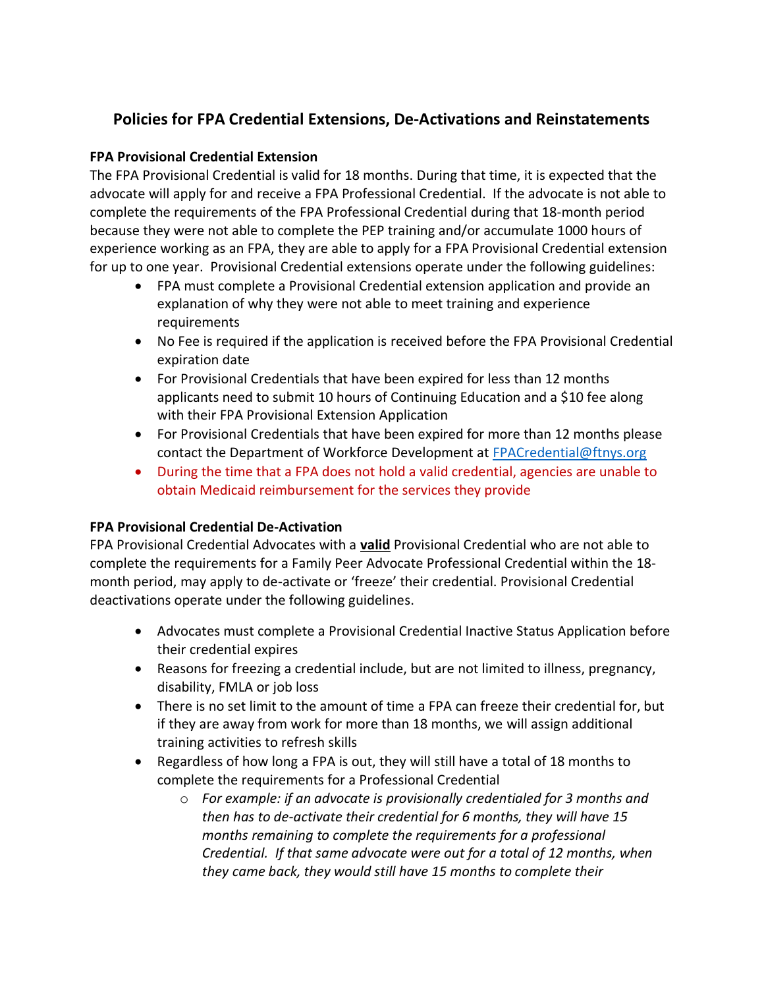# **Policies for FPA Credential Extensions, De-Activations and Reinstatements**

## **FPA Provisional Credential Extension**

The FPA Provisional Credential is valid for 18 months. During that time, it is expected that the advocate will apply for and receive a FPA Professional Credential. If the advocate is not able to complete the requirements of the FPA Professional Credential during that 18-month period because they were not able to complete the PEP training and/or accumulate 1000 hours of experience working as an FPA, they are able to apply for a FPA Provisional Credential extension for up to one year. Provisional Credential extensions operate under the following guidelines:

- FPA must complete a Provisional Credential extension application and provide an explanation of why they were not able to meet training and experience requirements
- No Fee is required if the application is received before the FPA Provisional Credential expiration date
- For Provisional Credentials that have been expired for less than 12 months applicants need to submit 10 hours of Continuing Education and a \$10 fee along with their FPA Provisional Extension Application
- For Provisional Credentials that have been expired for more than 12 months please contact the Department of Workforce Development at [FPACredential@ftnys.org](mailto:FPACredential@ftnys.org)
- During the time that a FPA does not hold a valid credential, agencies are unable to obtain Medicaid reimbursement for the services they provide

### **FPA Provisional Credential De-Activation**

FPA Provisional Credential Advocates with a **valid** Provisional Credential who are not able to complete the requirements for a Family Peer Advocate Professional Credential within the 18 month period, may apply to de-activate or 'freeze' their credential. Provisional Credential deactivations operate under the following guidelines.

- Advocates must complete a Provisional Credential Inactive Status Application before their credential expires
- Reasons for freezing a credential include, but are not limited to illness, pregnancy, disability, FMLA or job loss
- There is no set limit to the amount of time a FPA can freeze their credential for, but if they are away from work for more than 18 months, we will assign additional training activities to refresh skills
- Regardless of how long a FPA is out, they will still have a total of 18 months to complete the requirements for a Professional Credential
	- o *For example: if an advocate is provisionally credentialed for 3 months and then has to de-activate their credential for 6 months, they will have 15 months remaining to complete the requirements for a professional Credential. If that same advocate were out for a total of 12 months, when they came back, they would still have 15 months to complete their*